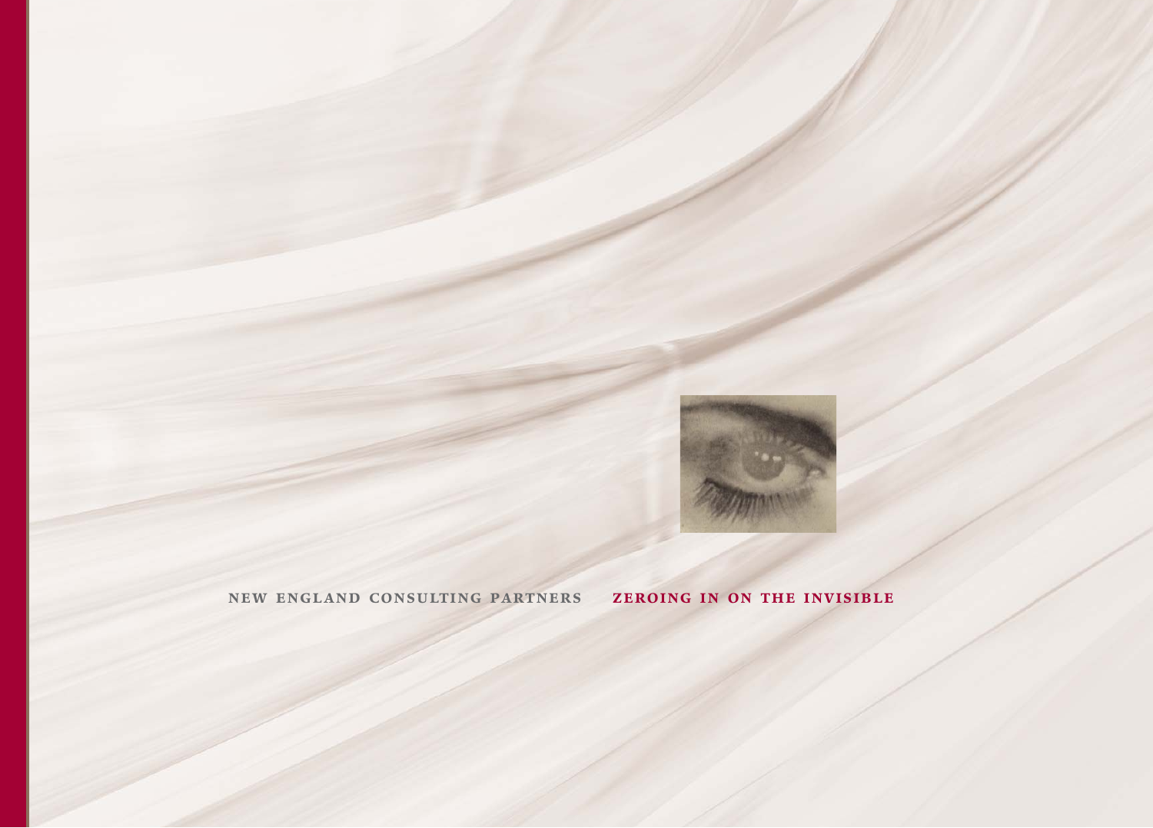

# **new england consulting partners zeroing in on the invisible**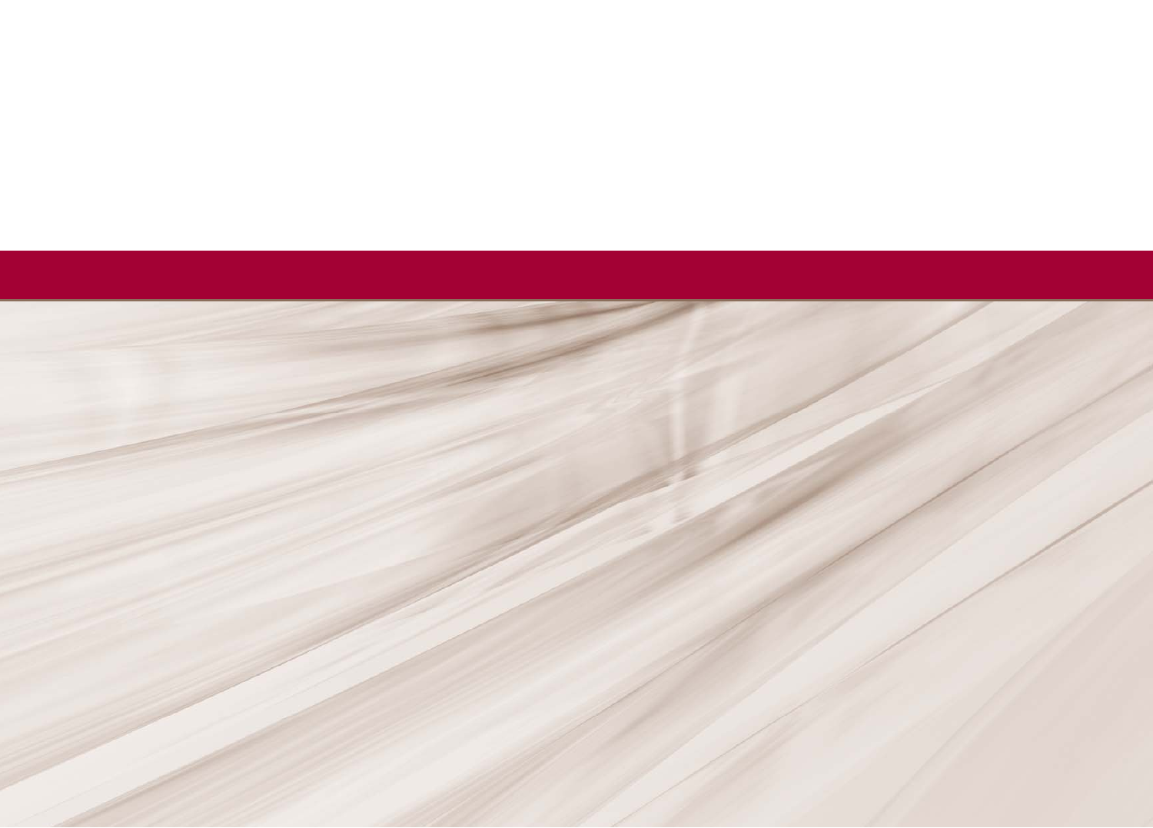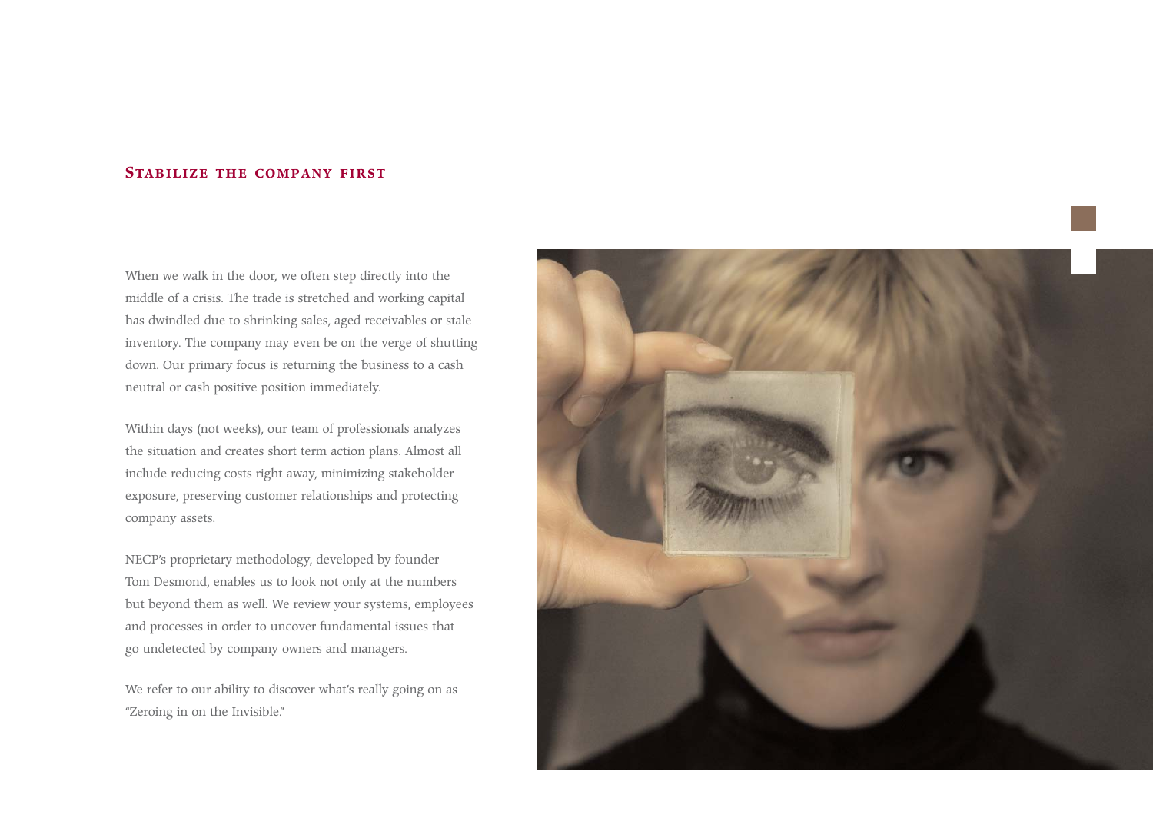#### **Stabilize the company first**

When we walk in the door, we often step directly into the middle of a crisis. The trade is stretched and working capital has dwindled due to shrinking sales, aged receivables or stale inventory. The company may even be on the verge of shutting down. Our primary focus is returning the business to a cash neutral or cash positive position immediately.

Within days (not weeks), our team of professionals analyzes the situation and creates short term action plans. Almost all include reducing costs right away, minimizing stakeholder exposure, preserving customer relationships and protecting company assets.

NECP's proprietary methodology, developed by founder Tom Desmond, enables us to look not only at the numbers but beyond them as well. We review your systems, employees and processes in order to uncover fundamental issues that go undetected by company owners and managers.

We refer to our ability to discover what's really going on as "Zeroing in on the Invisible."

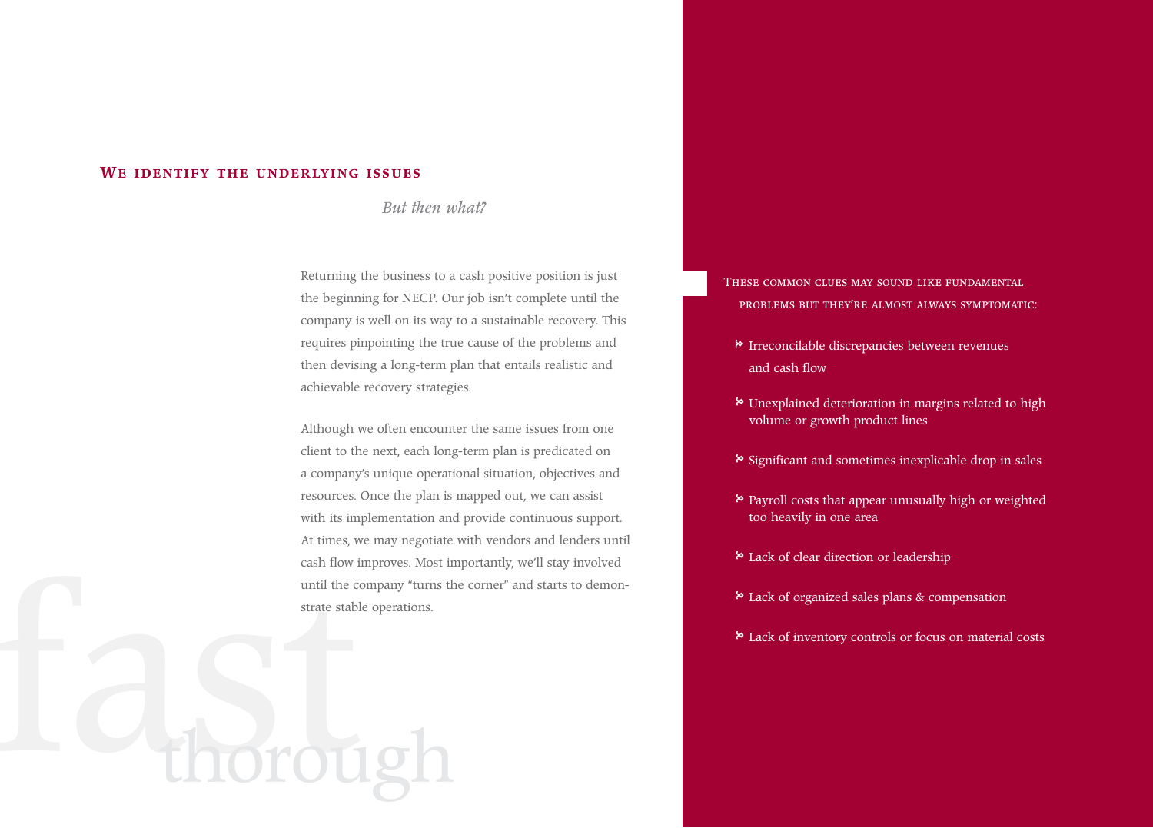#### **We identify the underlying issues**

*But then what?* 

Returning the business to a cash positive position is just the beginning for NECP. Our job isn't complete until the company is well on its way to a sustainable recovery. This requires pinpointing the true cause of the problems and then devising a long-term plan that entails realistic and achievable recovery strategies.

strate stable operations. Although we often encounter the same issues from one client to the next, each long-term plan is predicated on a company's unique operational situation, objectives and resources. Once the plan is mapped out, we can assist with its implementation and provide continuous support. At times, we may negotiate with vendors and lenders until cash flow improves. Most importantly, we'll stay involved until the company "turns the corner" and starts to demonstrate stable operations.

These common clues may sound like fundamental problems but they're almost always symptomatic:

- Irreconcilable discrepancies between revenues and cash flow
- Unexplained deterioration in margins related to high volume or growth product lines
- Significant and sometimes inexplicable drop in sales
- Payroll costs that appear unusually high or weighted too heavily in one area
- Lack of clear direction or leadership
- Lack of organized sales plans & compensation
- Lack of inventory controls or focus on material costs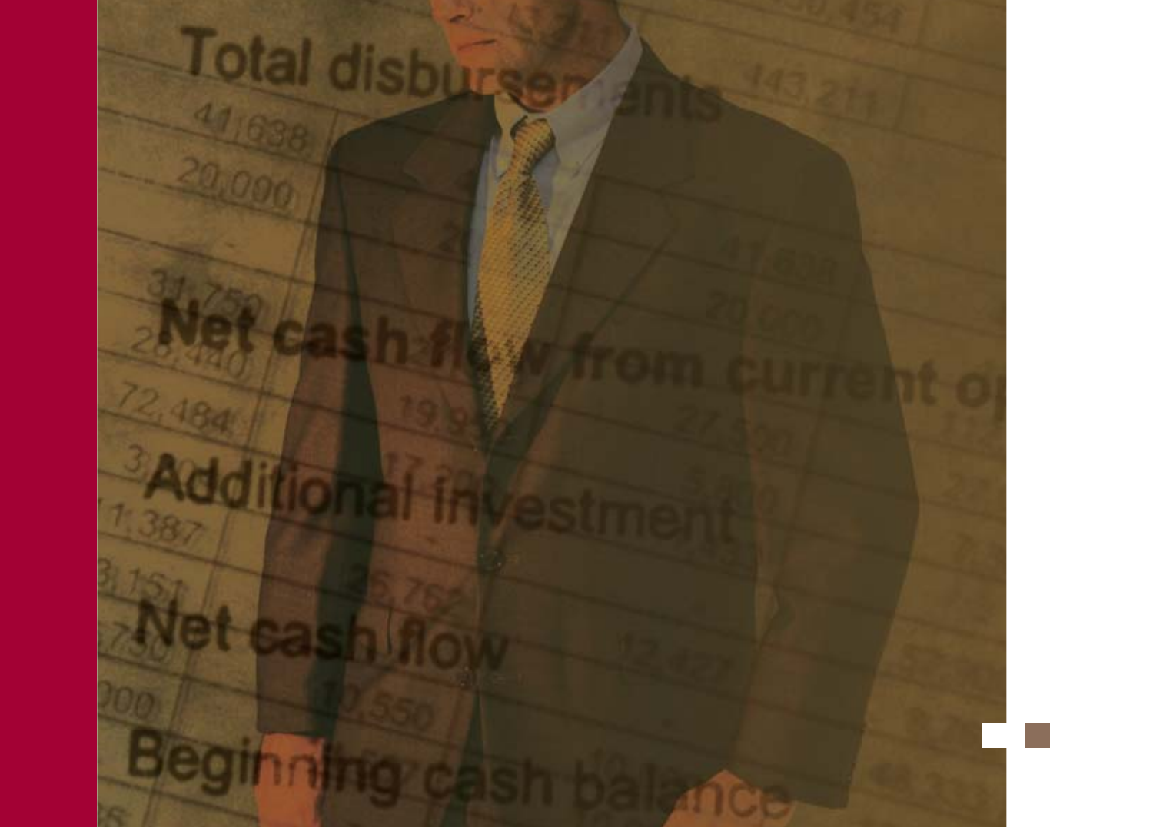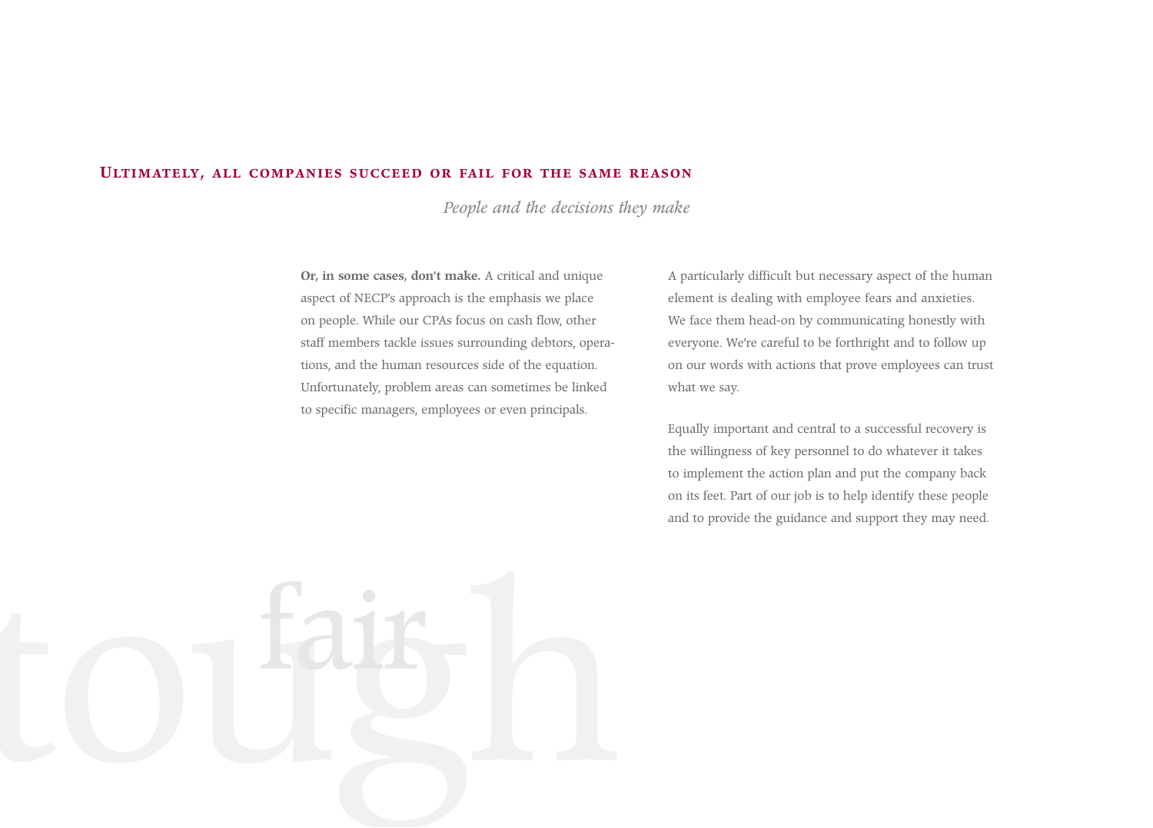#### **Ultimately, all companies succeed or fail for the same reason**

*People and the decisions they make*

**Or, in some cases, don't make.** A critical and unique aspect of NECP's approach is the emphasis we place on people. While our CPAs focus on cash flow, other staff members tackle issues surrounding debtors, operations, and the human resources side of the equation. Unfortunately, problem areas can sometimes be linked to specific managers, employees or even principals.

A particularly difficult but necessary aspect of the human element is dealing with employee fears and anxieties. We face them head-on by communicating honestly with everyone. We're careful to be forthright and to follow up on our words with actions that prove employees can trust what we say.

Equally important and central to a successful recovery is the willingness of key personnel to do whatever it takes to implement the action plan and put the company back on its feet. Part of our job is to help identify these people and to provide the guidance and support they may need.

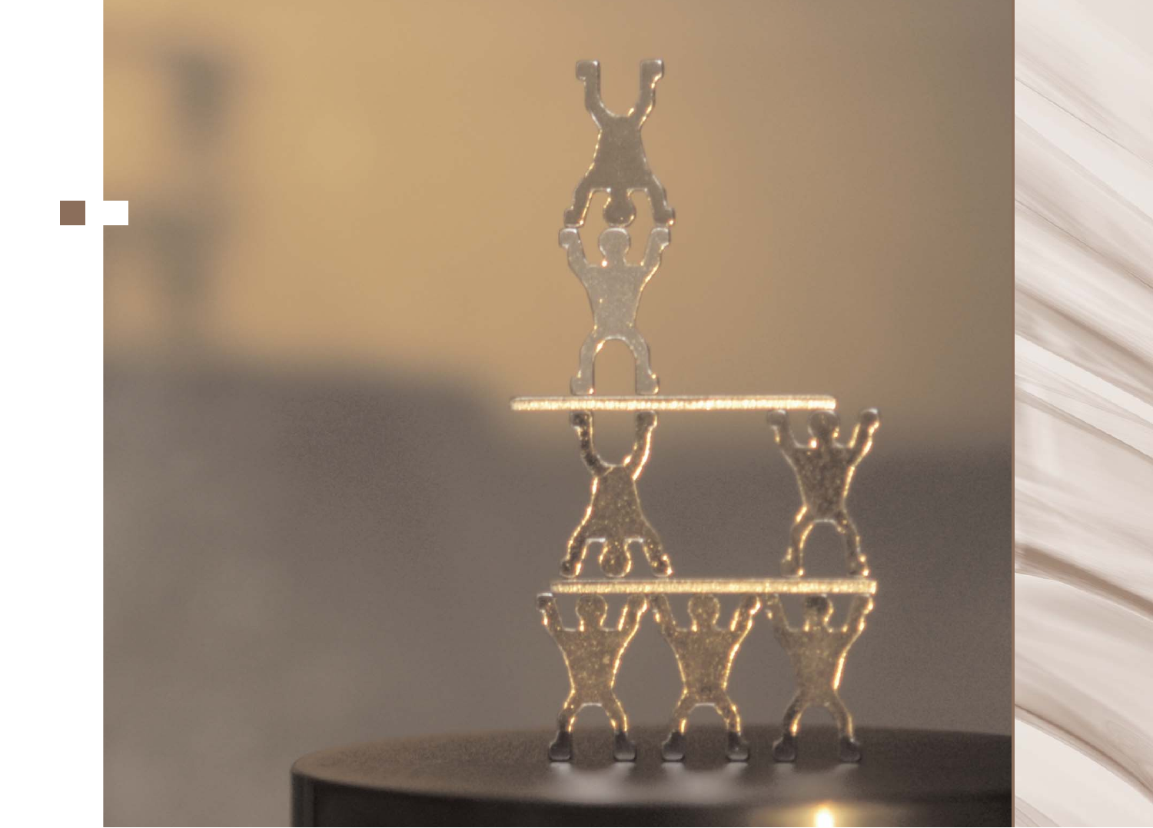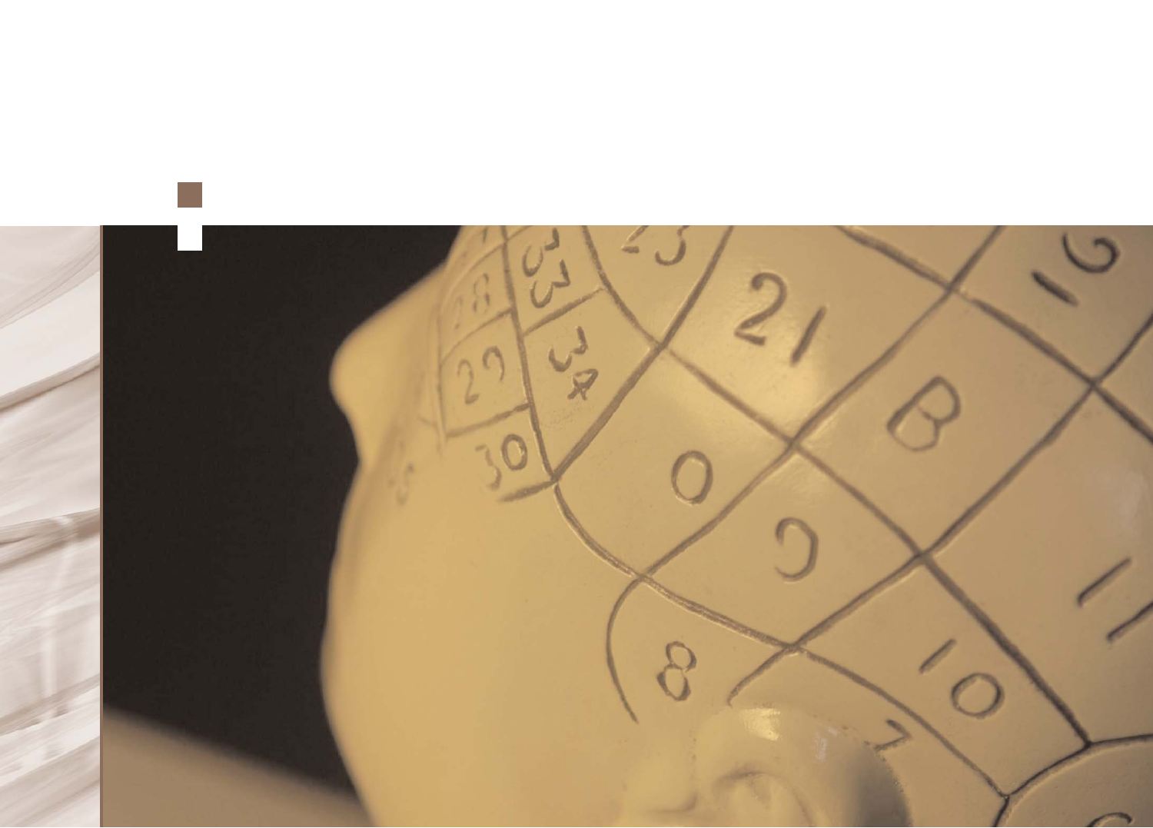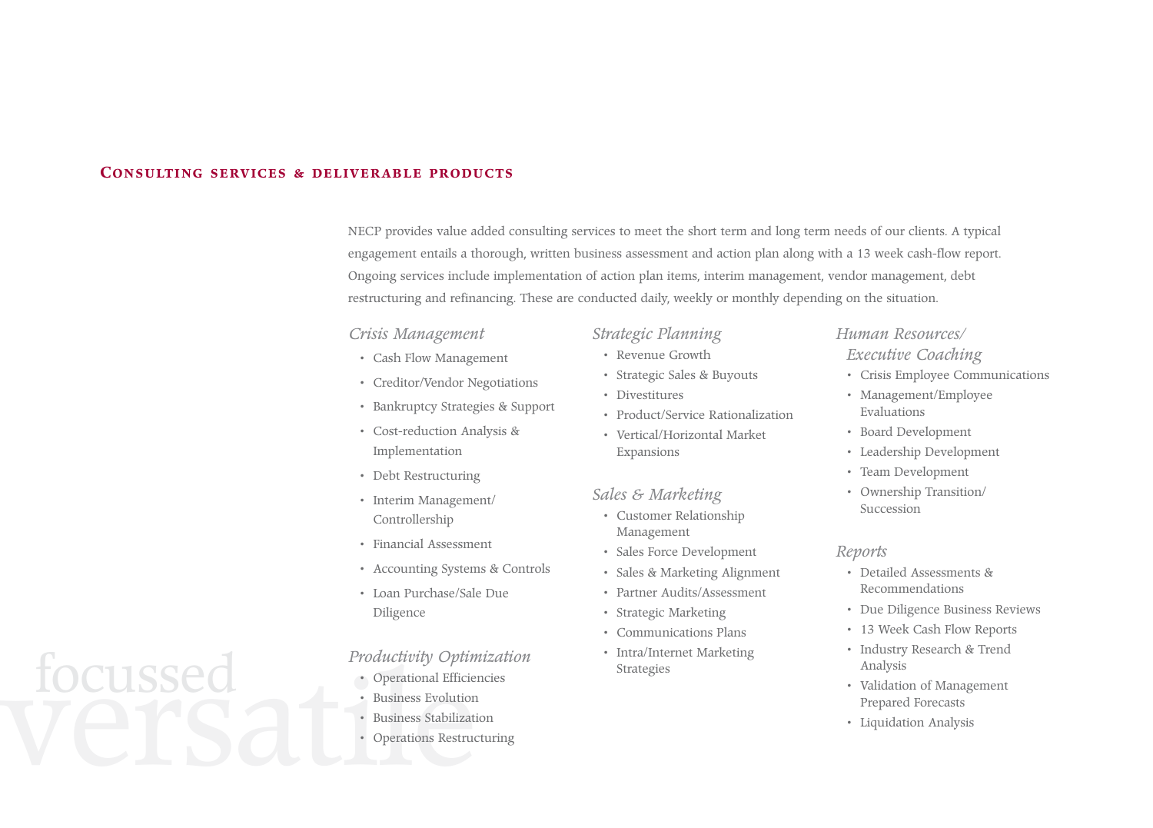#### **Consulting services & deliverable products**

NECP provides value added consulting services to meet the short term and long term needs of our clients. A typical engagement entails a thorough, written business assessment and action plan along with a 13 week cash-flow report. Ongoing services include implementation of action plan items, interim management, vendor management, debt restructuring and refinancing. These are conducted daily, weekly or monthly depending on the situation.

#### *Crisis Management*

- Cash Flow Management
- Creditor/Vendor Negotiations
- Bankruptcy Strategies & Support
- Cost-reduction Analysis & Implementation
- Debt Restructuring
- Interim Management/ Controllership
- Financial Assessment
- Accounting Systems & Controls
- Loan Purchase/Sale Due Diligence

# *Productivity Optimization*

- FOCUSSEC<br>
CUSSEC<br>
Proauctivity Optim<br>
Designess Evolution<br>
Business Stabilizati<br>
Operation<br>
Operation<br>
Operation<br>
Operation<br>
Operation<br>
Restruction<br>
Operation<br>
Restruction<br>
Operation<br>
Restruction<br>
Restruction<br>
Restruction<br> • Operational Efficiencies
	- Business Evolution
	- Business Stabilization
	- Operations Restructuring

# *Strategic Planning*

- Revenue Growth
- Strategic Sales & Buyouts
- Divestitures
- Product/Service Rationalization
- Vertical/Horizontal Market Expansions

# *Sales & Marketing*

- Customer Relationship Management
- Sales Force Development
- Sales & Marketing Alignment
- Partner Audits/Assessment
- Strategic Marketing
- Communications Plans
- Intra/Internet Marketing Strategies

# *Human Resources/ Executive Coaching*

- Crisis Employee Communications
- Management/Employee Evaluations
- Board Development
- Leadership Development
- Team Development
- Ownership Transition/ Succession

#### *Reports*

- Detailed Assessments & Recommendations
- Due Diligence Business Reviews
- 13 Week Cash Flow Reports
- Industry Research & Trend Analysis
- Validation of Management Prepared Forecasts
- Liquidation Analysis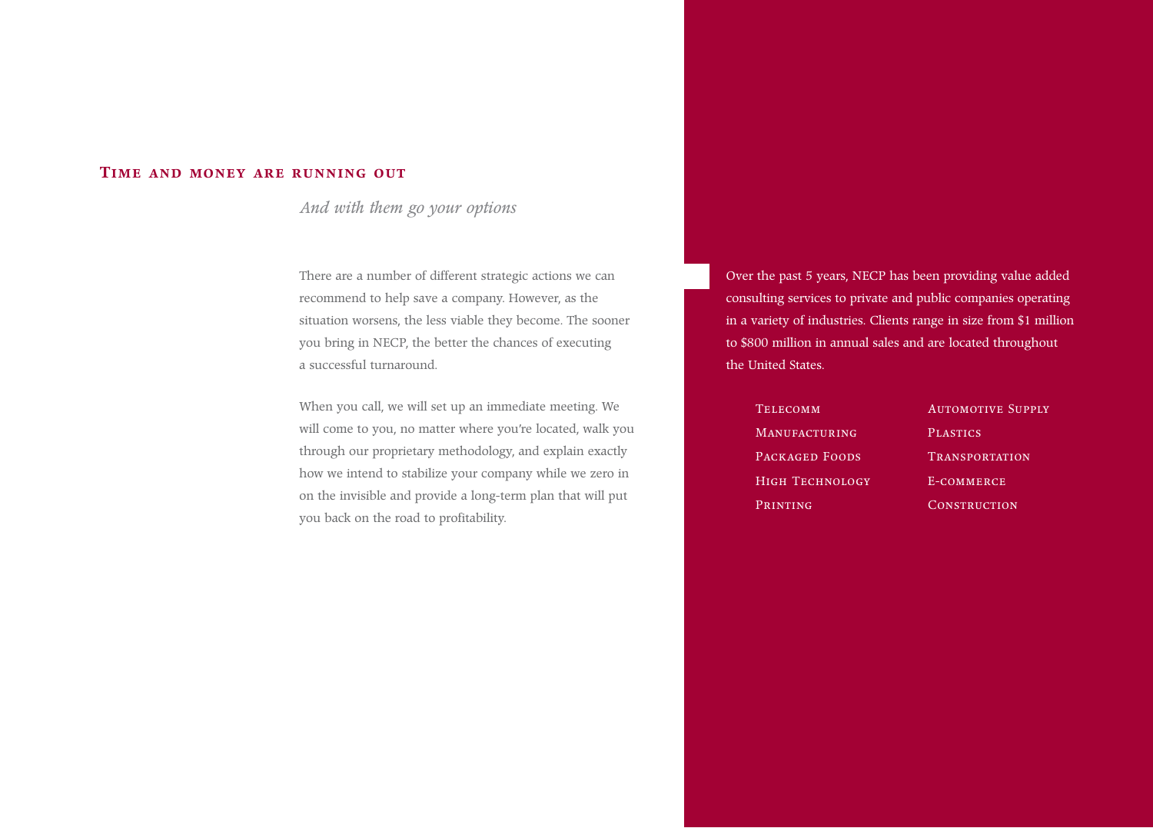#### **Time and money are running out**

*And with them go your options* 

There are a number of different strategic actions we can recommend to help save a company. However, as the situation worsens, the less viable they become. The sooner you bring in NECP, the better the chances of executing a successful turnaround.

When you call, we will set up an immediate meeting. We will come to you, no matter where you're located, walk you through our proprietary methodology, and explain exactly how we intend to stabilize your company while we zero in on the invisible and provide a long-term plan that will put you back on the road to profitability.

Over the past 5 years, NECP has been providing value added consulting services to private and public companies operating in a variety of industries. Clients range in size from \$1 million to \$800 million in annual sales and are located throughout the United States.

**TELECOMM MANUFACTURING** Packaged Foods High Technology PRINTING

Automotive Supply **PLASTICS TRANSPORTATION** E-commerce **CONSTRUCTION**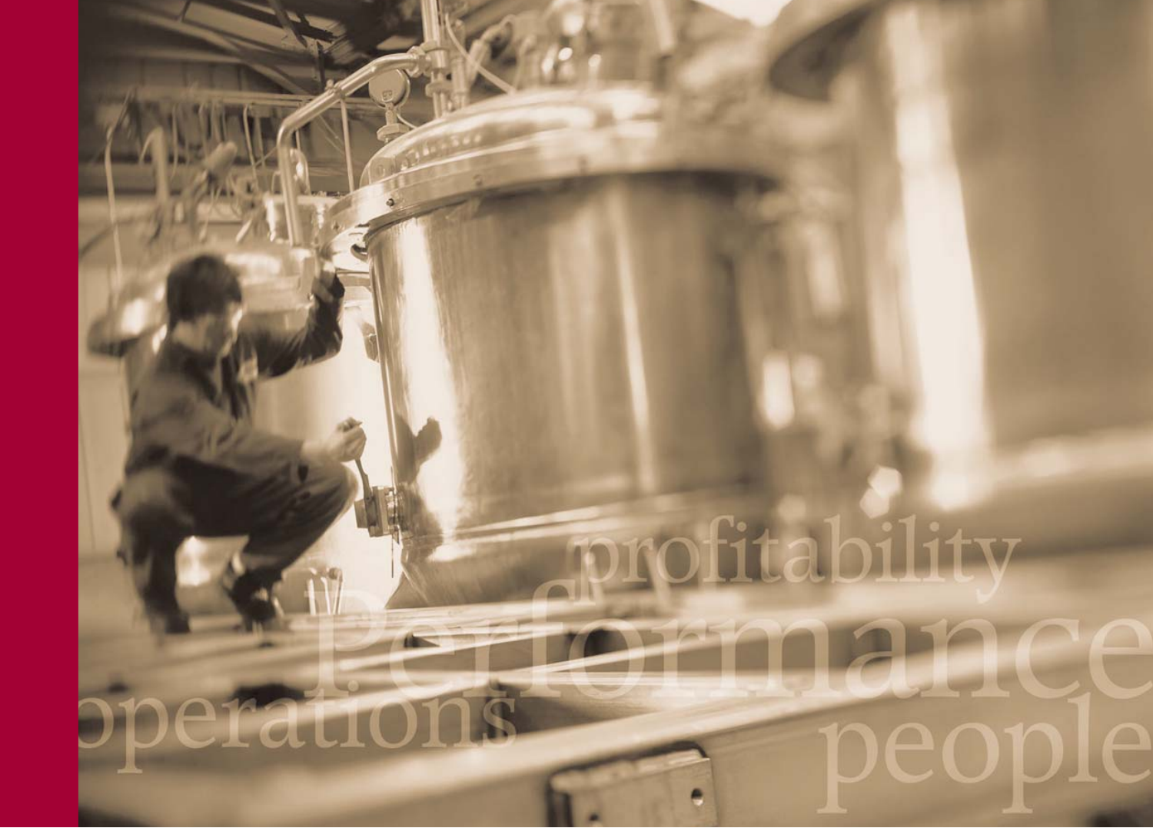